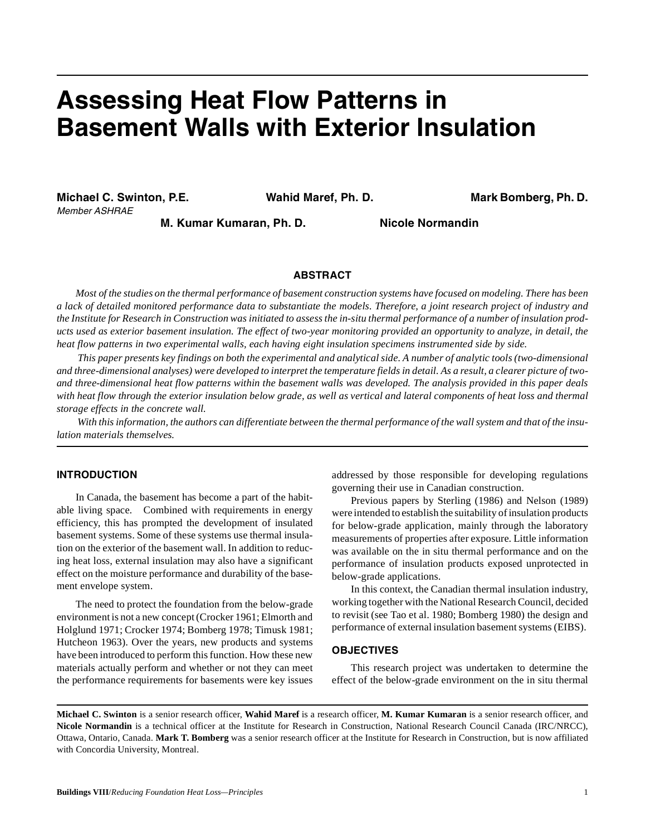# **Assessing Heat Flow Patterns in Basement Walls with Exterior Insulation**

**Michael C. Swinton, P.E. Wahid Maref, Ph. D. Mark Bomberg, Ph. D.** Member ASHRAE

**M. Kumar Kumaran, Ph. D. Nicole Normandin**

# **ABSTRACT**

*Most of the studies on the thermal performance of basement construction systems have focused on modeling. There has been a lack of detailed monitored performance data to substantiate the models. Therefore, a joint research project of industry and the Institute for Research in Construction was initiated to assess the in-situ thermal performance of a number of insulation products used as exterior basement insulation. The effect of two-year monitoring provided an opportunity to analyze, in detail, the heat flow patterns in two experimental walls, each having eight insulation specimens instrumented side by side.* 

 *This paper presents key findings on both the experimental and analytical side. A number of analytic tools (two-dimensional and three-dimensional analyses) were developed to interpret the temperature fields in detail. As a result, a clearer picture of twoand three-dimensional heat flow patterns within the basement walls was developed. The analysis provided in this paper deals with heat flow through the exterior insulation below grade, as well as vertical and lateral components of heat loss and thermal storage effects in the concrete wall.* 

 *With this information, the authors can differentiate between the thermal performance of the wall system and that of the insulation materials themselves.* 

# **INTRODUCTION**

In Canada, the basement has become a part of the habitable living space. Combined with requirements in energy efficiency, this has prompted the development of insulated basement systems. Some of these systems use thermal insulation on the exterior of the basement wall. In addition to reducing heat loss, external insulation may also have a significant effect on the moisture performance and durability of the basement envelope system.

The need to protect the foundation from the below-grade environment is not a new concept (Crocker 1961; Elmorth and Holglund 1971; Crocker 1974; Bomberg 1978; Timusk 1981; Hutcheon 1963). Over the years, new products and systems have been introduced to perform this function. How these new materials actually perform and whether or not they can meet the performance requirements for basements were key issues addressed by those responsible for developing regulations governing their use in Canadian construction.

Previous papers by Sterling (1986) and Nelson (1989) were intended to establish the suitability of insulation products for below-grade application, mainly through the laboratory measurements of properties after exposure. Little information was available on the in situ thermal performance and on the performance of insulation products exposed unprotected in below-grade applications.

In this context, the Canadian thermal insulation industry, working together with the National Research Council, decided to revisit (see Tao et al. 1980; Bomberg 1980) the design and performance of external insulation basement systems (EIBS).

## **OBJECTIVES**

This research project was undertaken to determine the effect of the below-grade environment on the in situ thermal

**Michael C. Swinton** is a senior research officer, **Wahid Maref** is a research officer, **M. Kumar Kumaran** is a senior research officer, and **Nicole Normandin** is a technical officer at the Institute for Research in Construction, National Research Council Canada (IRC/NRCC), Ottawa, Ontario, Canada. **Mark T. Bomberg** was a senior research officer at the Institute for Research in Construction, but is now affiliated with Concordia University, Montreal.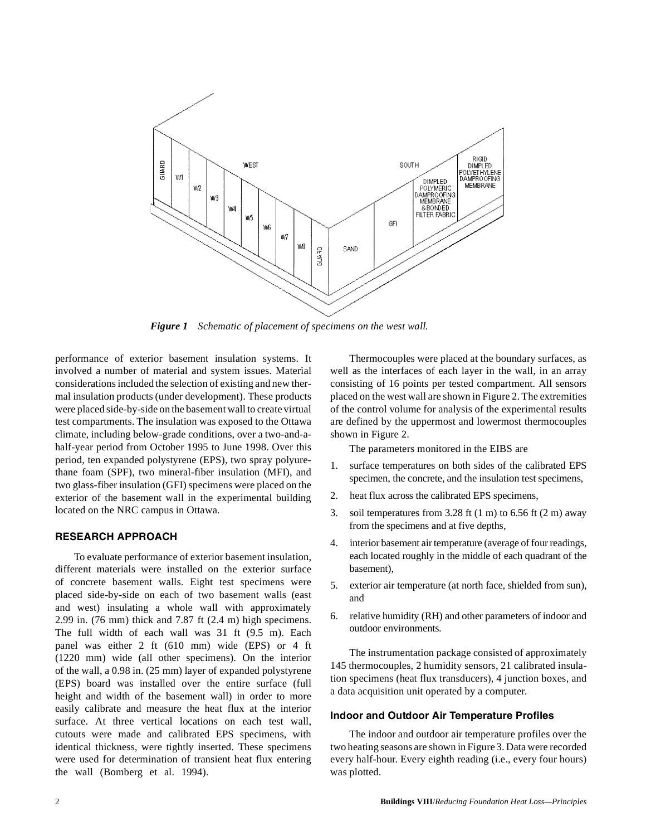

*Figure 1 Schematic of placement of specimens on the west wall.*

performance of exterior basement insulation systems. It involved a number of material and system issues. Material considerations included the selection of existing and new thermal insulation products (under development). These products were placed side-by-side on the basement wall to create virtual test compartments. The insulation was exposed to the Ottawa climate, including below-grade conditions, over a two-and-ahalf-year period from October 1995 to June 1998. Over this period, ten expanded polystyrene (EPS), two spray polyurethane foam (SPF), two mineral-fiber insulation (MFI), and two glass-fiber insulation (GFI) specimens were placed on the exterior of the basement wall in the experimental building located on the NRC campus in Ottawa.

# **RESEARCH APPROACH**

To evaluate performance of exterior basement insulation, different materials were installed on the exterior surface of concrete basement walls. Eight test specimens were placed side-by-side on each of two basement walls (east and west) insulating a whole wall with approximately 2.99 in. (76 mm) thick and 7.87 ft (2.4 m) high specimens. The full width of each wall was 31 ft (9.5 m). Each panel was either 2 ft (610 mm) wide (EPS) or 4 ft (1220 mm) wide (all other specimens). On the interior of the wall, a 0.98 in. (25 mm) layer of expanded polystyrene (EPS) board was installed over the entire surface (full height and width of the basement wall) in order to more easily calibrate and measure the heat flux at the interior surface. At three vertical locations on each test wall, cutouts were made and calibrated EPS specimens, with identical thickness, were tightly inserted. These specimens were used for determination of transient heat flux entering the wall (Bomberg et al. 1994).

Thermocouples were placed at the boundary surfaces, as well as the interfaces of each layer in the wall, in an array consisting of 16 points per tested compartment. All sensors placed on the west wall are shown in Figure 2. The extremities of the control volume for analysis of the experimental results are defined by the uppermost and lowermost thermocouples shown in Figure 2.

The parameters monitored in the EIBS are

- 1. surface temperatures on both sides of the calibrated EPS specimen, the concrete, and the insulation test specimens,
- 2. heat flux across the calibrated EPS specimens,
- 3. soil temperatures from 3.28 ft  $(1 \text{ m})$  to 6.56 ft  $(2 \text{ m})$  away from the specimens and at five depths,
- 4. interior basement air temperature (average of four readings, each located roughly in the middle of each quadrant of the basement),
- 5. exterior air temperature (at north face, shielded from sun), and
- 6. relative humidity (RH) and other parameters of indoor and outdoor environments.

The instrumentation package consisted of approximately 145 thermocouples, 2 humidity sensors, 21 calibrated insulation specimens (heat flux transducers), 4 junction boxes, and a data acquisition unit operated by a computer.

#### **Indoor and Outdoor Air Temperature Profiles**

The indoor and outdoor air temperature profiles over the two heating seasons are shown in Figure 3. Data were recorded every half-hour. Every eighth reading (i.e., every four hours) was plotted.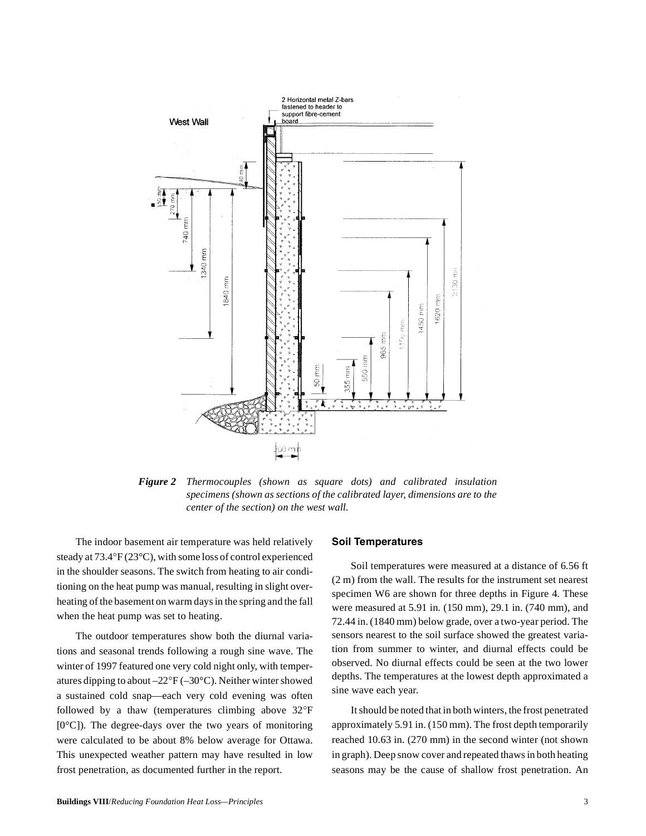

*Figure 2 Thermocouples (shown as square dots) and calibrated insulation specimens (shown as sections of the calibrated layer, dimensions are to the center of the section) on the west wall.*

The indoor basement air temperature was held relatively steady at 73.4°F (23°C), with some loss of control experienced in the shoulder seasons. The switch from heating to air conditioning on the heat pump was manual, resulting in slight overheating of the basement on warm days in the spring and the fall when the heat pump was set to heating.

The outdoor temperatures show both the diurnal variations and seasonal trends following a rough sine wave. The winter of 1997 featured one very cold night only, with temperatures dipping to about –22°F (–30°C). Neither winter showed a sustained cold snap—each very cold evening was often followed by a thaw (temperatures climbing above 32°F  $[0^{\circ}C]$ ). The degree-days over the two years of monitoring were calculated to be about 8% below average for Ottawa. This unexpected weather pattern may have resulted in low frost penetration, as documented further in the report.

## **Soil Temperatures**

Soil temperatures were measured at a distance of 6.56 ft (2 m) from the wall. The results for the instrument set nearest specimen W6 are shown for three depths in Figure 4. These were measured at 5.91 in. (150 mm), 29.1 in. (740 mm), and 72.44 in. (1840 mm) below grade, over a two-year period. The sensors nearest to the soil surface showed the greatest variation from summer to winter, and diurnal effects could be observed. No diurnal effects could be seen at the two lower depths. The temperatures at the lowest depth approximated a sine wave each year.

It should be noted that in both winters, the frost penetrated approximately 5.91 in. (150 mm). The frost depth temporarily reached 10.63 in. (270 mm) in the second winter (not shown in graph). Deep snow cover and repeated thaws in both heating seasons may be the cause of shallow frost penetration. An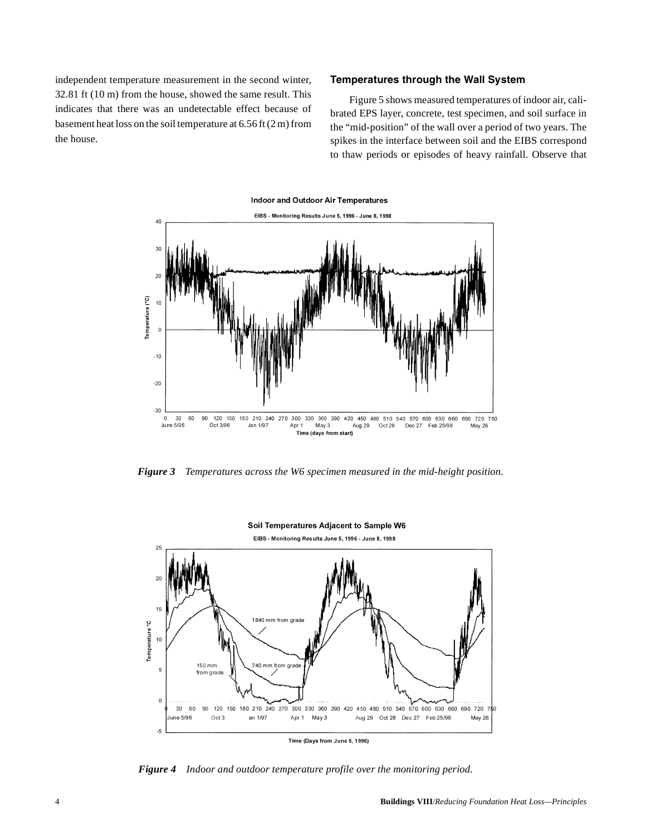independent temperature measurement in the second winter, 32.81 ft (10 m) from the house, showed the same result. This indicates that there was an undetectable effect because of basement heat loss on the soil temperature at 6.56 ft (2 m) from the house.

## **Temperatures through the Wall System**

Figure 5 shows measured temperatures of indoor air, calibrated EPS layer, concrete, test specimen, and soil surface in the "mid-position" of the wall over a period of two years. The spikes in the interface between soil and the EIBS correspond to thaw periods or episodes of heavy rainfall. Observe that



*Figure 3 Temperatures across the W6 specimen measured in the mid-height position.*



*Figure 4 Indoor and outdoor temperature profile over the monitoring period.*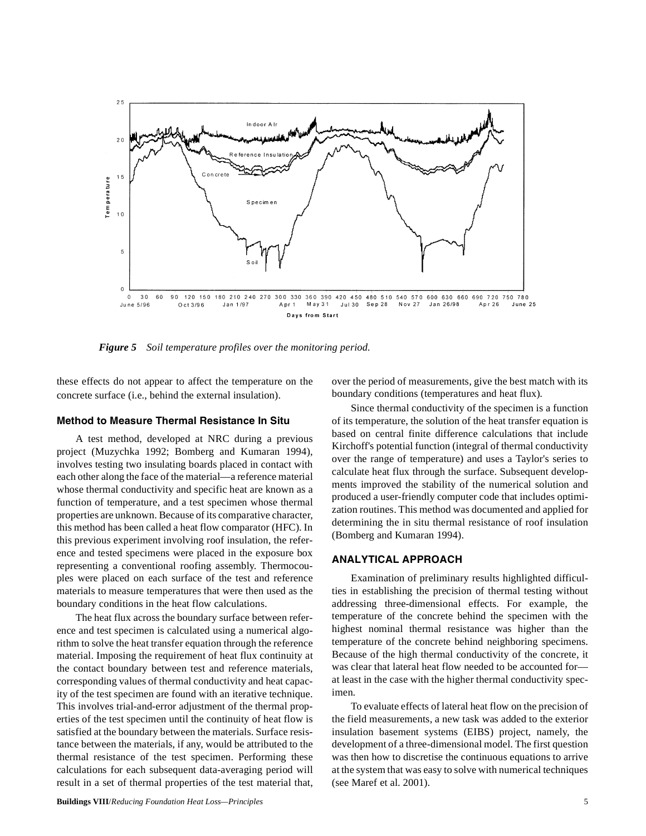

*Figure 5 Soil temperature profiles over the monitoring period.*

these effects do not appear to affect the temperature on the concrete surface (i.e., behind the external insulation).

# **Method to Measure Thermal Resistance In Situ**

A test method, developed at NRC during a previous project (Muzychka 1992; Bomberg and Kumaran 1994), involves testing two insulating boards placed in contact with each other along the face of the material—a reference material whose thermal conductivity and specific heat are known as a function of temperature, and a test specimen whose thermal properties are unknown. Because of its comparative character, this method has been called a heat flow comparator (HFC). In this previous experiment involving roof insulation, the reference and tested specimens were placed in the exposure box representing a conventional roofing assembly. Thermocouples were placed on each surface of the test and reference materials to measure temperatures that were then used as the boundary conditions in the heat flow calculations.

The heat flux across the boundary surface between reference and test specimen is calculated using a numerical algorithm to solve the heat transfer equation through the reference material. Imposing the requirement of heat flux continuity at the contact boundary between test and reference materials, corresponding values of thermal conductivity and heat capacity of the test specimen are found with an iterative technique. This involves trial-and-error adjustment of the thermal properties of the test specimen until the continuity of heat flow is satisfied at the boundary between the materials. Surface resistance between the materials, if any, would be attributed to the thermal resistance of the test specimen. Performing these calculations for each subsequent data-averaging period will result in a set of thermal properties of the test material that,

over the period of measurements, give the best match with its boundary conditions (temperatures and heat flux).

Since thermal conductivity of the specimen is a function of its temperature, the solution of the heat transfer equation is based on central finite difference calculations that include Kirchoff's potential function (integral of thermal conductivity over the range of temperature) and uses a Taylor's series to calculate heat flux through the surface. Subsequent developments improved the stability of the numerical solution and produced a user-friendly computer code that includes optimization routines. This method was documented and applied for determining the in situ thermal resistance of roof insulation (Bomberg and Kumaran 1994).

# **ANALYTICAL APPROACH**

Examination of preliminary results highlighted difficulties in establishing the precision of thermal testing without addressing three-dimensional effects. For example, the temperature of the concrete behind the specimen with the highest nominal thermal resistance was higher than the temperature of the concrete behind neighboring specimens. Because of the high thermal conductivity of the concrete, it was clear that lateral heat flow needed to be accounted forat least in the case with the higher thermal conductivity specimen.

To evaluate effects of lateral heat flow on the precision of the field measurements, a new task was added to the exterior insulation basement systems (EIBS) project, namely, the development of a three-dimensional model. The first question was then how to discretise the continuous equations to arrive at the system that was easy to solve with numerical techniques (see Maref et al. 2001).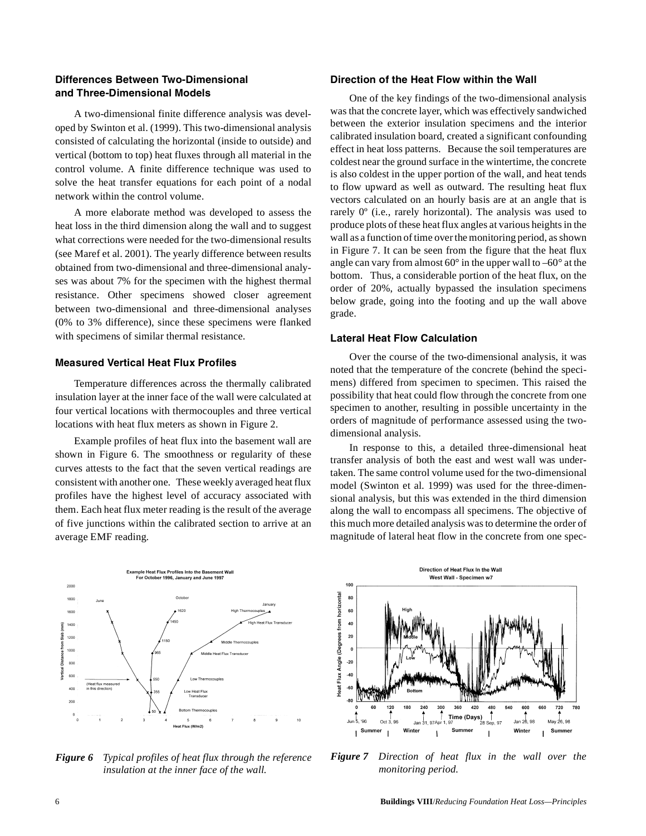# **Differences Between Two-Dimensional and Three-Dimensional Models**

A two-dimensional finite difference analysis was developed by Swinton et al. (1999). This two-dimensional analysis consisted of calculating the horizontal (inside to outside) and vertical (bottom to top) heat fluxes through all material in the control volume. A finite difference technique was used to solve the heat transfer equations for each point of a nodal network within the control volume.

A more elaborate method was developed to assess the heat loss in the third dimension along the wall and to suggest what corrections were needed for the two-dimensional results (see Maref et al. 2001). The yearly difference between results obtained from two-dimensional and three-dimensional analyses was about 7% for the specimen with the highest thermal resistance. Other specimens showed closer agreement between two-dimensional and three-dimensional analyses (0% to 3% difference), since these specimens were flanked with specimens of similar thermal resistance.

# **Measured Vertical Heat Flux Profiles**

Temperature differences across the thermally calibrated insulation layer at the inner face of the wall were calculated at four vertical locations with thermocouples and three vertical locations with heat flux meters as shown in Figure 2.

Example profiles of heat flux into the basement wall are shown in Figure 6. The smoothness or regularity of these curves attests to the fact that the seven vertical readings are consistent with another one. These weekly averaged heat flux profiles have the highest level of accuracy associated with them. Each heat flux meter reading is the result of the average of five junctions within the calibrated section to arrive at an average EMF reading.



*Figure 6 Typical profiles of heat flux through the reference insulation at the inner face of the wall.*

# **Direction of the Heat Flow within the Wall**

One of the key findings of the two-dimensional analysis was that the concrete layer, which was effectively sandwiched between the exterior insulation specimens and the interior calibrated insulation board, created a significant confounding effect in heat loss patterns. Because the soil temperatures are coldest near the ground surface in the wintertime, the concrete is also coldest in the upper portion of the wall, and heat tends to flow upward as well as outward. The resulting heat flux vectors calculated on an hourly basis are at an angle that is rarely 0º (i.e., rarely horizontal). The analysis was used to produce plots of these heat flux angles at various heights in the wall as a function of time over the monitoring period, as shown in Figure 7. It can be seen from the figure that the heat flux angle can vary from almost  $60^{\circ}$  in the upper wall to  $-60^{\circ}$  at the bottom. Thus, a considerable portion of the heat flux, on the order of 20%, actually bypassed the insulation specimens below grade, going into the footing and up the wall above grade.

### **Lateral Heat Flow Calculation**

Over the course of the two-dimensional analysis, it was noted that the temperature of the concrete (behind the specimens) differed from specimen to specimen. This raised the possibility that heat could flow through the concrete from one specimen to another, resulting in possible uncertainty in the orders of magnitude of performance assessed using the twodimensional analysis.

In response to this, a detailed three-dimensional heat transfer analysis of both the east and west wall was undertaken. The same control volume used for the two-dimensional model (Swinton et al. 1999) was used for the three-dimensional analysis, but this was extended in the third dimension along the wall to encompass all specimens. The objective of this much more detailed analysis was to determine the order of magnitude of lateral heat flow in the concrete from one spec-



*Figure 7 Direction of heat flux in the wall over the monitoring period.*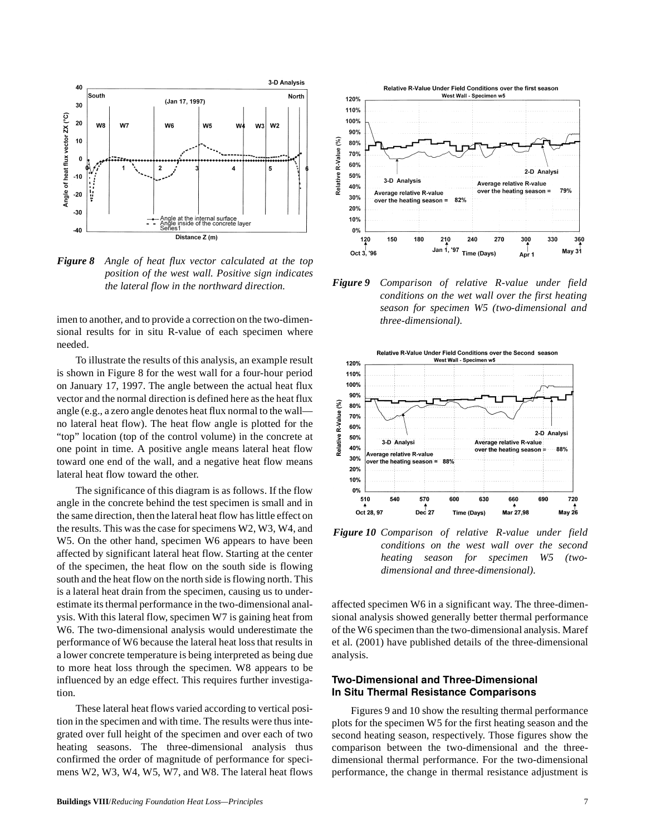

*Figure 8 Angle of heat flux vector calculated at the top position of the west wall. Positive sign indicates*

imen to another, and to provide a correction on the two-dimensional results for in situ R-value of each specimen where needed.

To illustrate the results of this analysis, an example result is shown in Figure 8 for the west wall for a four-hour period on January 17, 1997. The angle between the actual heat flux vector and the normal direction is defined here as the heat flux angle (e.g., a zero angle denotes heat flux normal to the wall no lateral heat flow). The heat flow angle is plotted for the "top" location (top of the control volume) in the concrete at one point in time. A positive angle means lateral heat flow toward one end of the wall, and a negative heat flow means lateral heat flow toward the other.

The significance of this diagram is as follows. If the flow angle in the concrete behind the test specimen is small and in the same direction, then the lateral heat flow has little effect on the results. This was the case for specimens W2, W3, W4, and W5. On the other hand, specimen W6 appears to have been affected by significant lateral heat flow. Starting at the center of the specimen, the heat flow on the south side is flowing south and the heat flow on the north side is flowing north. This is a lateral heat drain from the specimen, causing us to underestimate its thermal performance in the two-dimensional analysis. With this lateral flow, specimen W7 is gaining heat from W6. The two-dimensional analysis would underestimate the performance of W6 because the lateral heat loss that results in a lower concrete temperature is being interpreted as being due to more heat loss through the specimen. W8 appears to be influenced by an edge effect. This requires further investigation.

These lateral heat flows varied according to vertical position in the specimen and with time. The results were thus integrated over full height of the specimen and over each of two heating seasons. The three-dimensional analysis thus confirmed the order of magnitude of performance for specimens W2, W3, W4, W5, W7, and W8. The lateral heat flows



*the lateral flow in the northward direction. Figure 9 Comparison of relative R-value under field conditions on the wet wall over the first heating season for specimen W5 (two-dimensional and three-dimensional).*



*Figure 10 Comparison of relative R-value under field conditions on the west wall over the second heating season for specimen W5 (twodimensional and three-dimensional).*

affected specimen W6 in a significant way. The three-dimensional analysis showed generally better thermal performance of the W6 specimen than the two-dimensional analysis. Maref et al. (2001) have published details of the three-dimensional analysis.

# **Two-Dimensional and Three-Dimensional In Situ Thermal Resistance Comparisons**

Figures 9 and 10 show the resulting thermal performance plots for the specimen W5 for the first heating season and the second heating season, respectively. Those figures show the comparison between the two-dimensional and the threedimensional thermal performance. For the two-dimensional performance, the change in thermal resistance adjustment is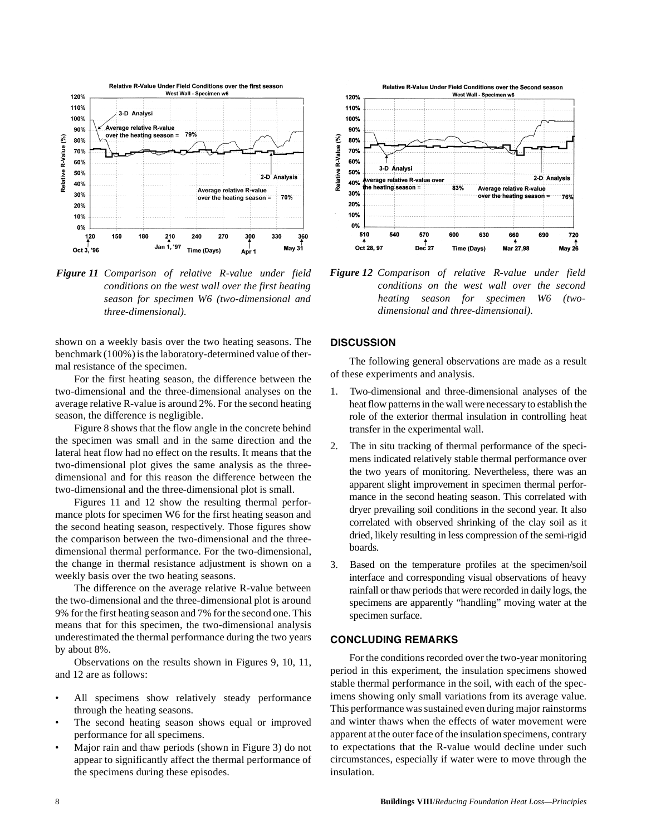

*Figure 11 Comparison of relative R-value under field conditions on the west wall over the first heating season for specimen W6 (two-dimensional and three-dimensional).*

shown on a weekly basis over the two heating seasons. The benchmark (100%) is the laboratory-determined value of thermal resistance of the specimen.

For the first heating season, the difference between the two-dimensional and the three-dimensional analyses on the average relative R-value is around 2%. For the second heating season, the difference is negligible.

Figure 8 shows that the flow angle in the concrete behind the specimen was small and in the same direction and the lateral heat flow had no effect on the results. It means that the two-dimensional plot gives the same analysis as the threedimensional and for this reason the difference between the two-dimensional and the three-dimensional plot is small.

Figures 11 and 12 show the resulting thermal performance plots for specimen W6 for the first heating season and the second heating season, respectively. Those figures show the comparison between the two-dimensional and the threedimensional thermal performance. For the two-dimensional, the change in thermal resistance adjustment is shown on a weekly basis over the two heating seasons.

The difference on the average relative R-value between the two-dimensional and the three-dimensional plot is around 9% for the first heating season and 7% for the second one. This means that for this specimen, the two-dimensional analysis underestimated the thermal performance during the two years by about 8%.

Observations on the results shown in Figures 9, 10, 11, and 12 are as follows:

- All specimens show relatively steady performance through the heating seasons.
- The second heating season shows equal or improved performance for all specimens.
- Major rain and thaw periods (shown in Figure 3) do not appear to significantly affect the thermal performance of the specimens during these episodes.



*Figure 12 Comparison of relative R-value under field conditions on the west wall over the second heating season for specimen W6 (twodimensional and three-dimensional).*

## **DISCUSSION**

The following general observations are made as a result of these experiments and analysis.

- 1. Two-dimensional and three-dimensional analyses of the heat flow patterns in the wall were necessary to establish the role of the exterior thermal insulation in controlling heat transfer in the experimental wall.
- 2. The in situ tracking of thermal performance of the specimens indicated relatively stable thermal performance over the two years of monitoring. Nevertheless, there was an apparent slight improvement in specimen thermal performance in the second heating season. This correlated with dryer prevailing soil conditions in the second year. It also correlated with observed shrinking of the clay soil as it dried, likely resulting in less compression of the semi-rigid boards.
- 3. Based on the temperature profiles at the specimen/soil interface and corresponding visual observations of heavy rainfall or thaw periods that were recorded in daily logs, the specimens are apparently "handling" moving water at the specimen surface.

## **CONCLUDING REMARKS**

For the conditions recorded over the two-year monitoring period in this experiment, the insulation specimens showed stable thermal performance in the soil, with each of the specimens showing only small variations from its average value. This performance was sustained even during major rainstorms and winter thaws when the effects of water movement were apparent at the outer face of the insulation specimens, contrary to expectations that the R-value would decline under such circumstances, especially if water were to move through the insulation.